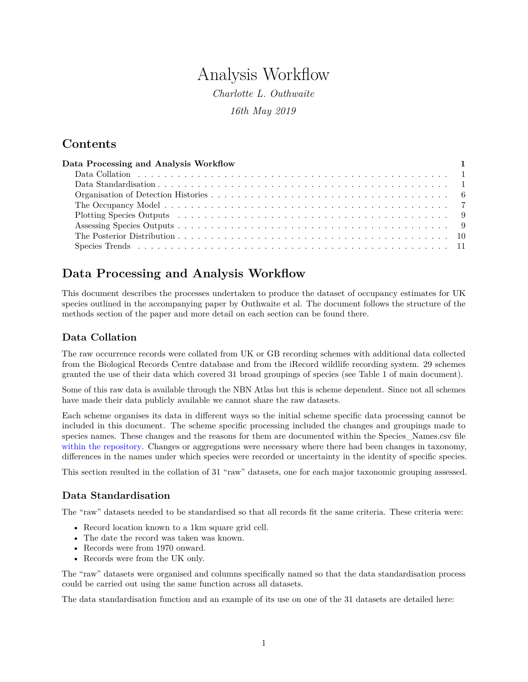# Analysis Workflow

*Charlotte L. Outhwaite 16th May 2019*

### **Contents**

| Data Processing and Analysis Workflow |  |
|---------------------------------------|--|
|                                       |  |
|                                       |  |
|                                       |  |
|                                       |  |
|                                       |  |
|                                       |  |
|                                       |  |
|                                       |  |

## <span id="page-0-0"></span>**Data Processing and Analysis Workflow**

This document describes the processes undertaken to produce the dataset of occupancy estimates for UK species outlined in the accompanying paper by Outhwaite et al. The document follows the structure of the methods section of the paper and more detail on each section can be found there.

### <span id="page-0-1"></span>**Data Collation**

The raw occurrence records were collated from UK or GB recording schemes with additional data collected from the Biological Records Centre database and from the iRecord wildlife recording system. 29 schemes granted the use of their data which covered 31 broad groupings of species (see Table 1 of main document).

Some of this raw data is available through the NBN Atlas but this is scheme dependent. Since not all schemes have made their data publicly available we cannot share the raw datasets.

Each scheme organises its data in different ways so the initial scheme specific data processing cannot be included in this document. The scheme specific processing included the changes and groupings made to species names. These changes and the reasons for them are documented within the Species Names.csv file [within the repository.](https://catalogue.ceh.ac.uk/documents/0ec7e549-57d4-4e2d-b2d3-2199e1578d84) Changes or aggregations were necessary where there had been changes in taxonomy, differences in the names under which species were recorded or uncertainty in the identity of specific species.

This section resulted in the collation of 31 "raw" datasets, one for each major taxonomic grouping assessed.

### <span id="page-0-2"></span>**Data Standardisation**

The "raw" datasets needed to be standardised so that all records fit the same criteria. These criteria were:

- Record location known to a 1km square grid cell.
- The date the record was taken was known.
- Records were from 1970 onward.
- Records were from the UK only.

The "raw" datasets were organised and columns specifically named so that the data standardisation process could be carried out using the same function across all datasets.

The data standardisation function and an example of its use on one of the 31 datasets are detailed here: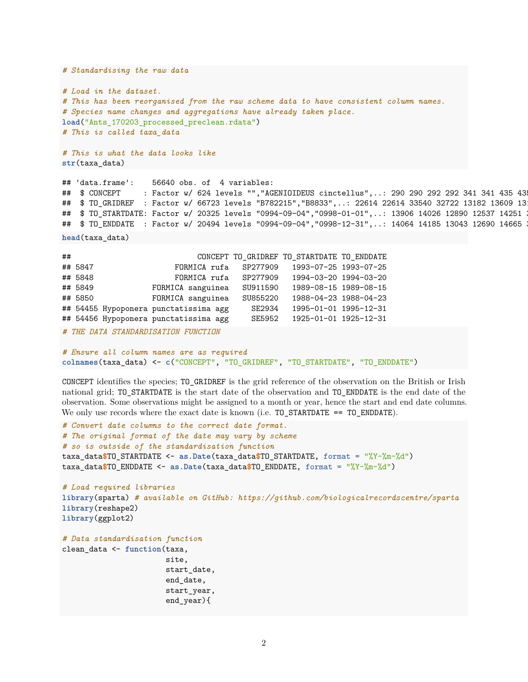```
# Standardising the raw data
# Load in the dataset.
# This has been reorganised from the raw scheme data to have consistent column names.
# Species name changes and aggregations have already taken place.
load("Ants_170203_processed_preclean.rdata")
# This is called taxa_data
# This is what the data looks like
str(taxa_data)
```

```
## 'data.frame': 56640 obs. of 4 variables:
## $ CONCEPT : Factor w/ 624 levels "", "AGENIOIDEUS cinctellus",..: 290 290 292 292 341 341 435 43
## $TO_GRIDREF : Factor w/ 66723 levels "B782215", "B8833",..: 22614 22614 33540 32722 13182 13609 13
## $TO_STARTDATE: Factor w/ 20325 levels "0994-09-04", "0998-01-01",..: 13906 14026 12890 12537 14251
## $TO_ENDDATE : Factor w/ 20494 levels "0994-09-04", "0998-12-31",..: 14064 14185 13043 12690 14665
```

```
head(taxa_data)
```

| ## |                                     |                                       |          | CONCEPT TO_GRIDREF TO_STARTDATE TO_ENDDATE |  |  |
|----|-------------------------------------|---------------------------------------|----------|--------------------------------------------|--|--|
|    | ## 5847                             | FORMICA rufa SP277909                 |          | 1993-07-25 1993-07-25                      |  |  |
|    | ## 5848                             | FORMICA rufa SP277909                 |          | 1994-03-20 1994-03-20                      |  |  |
|    | ## 5849                             | FORMICA sanguinea                     | SU911590 | 1989-08-15 1989-08-15                      |  |  |
|    | ## 5850                             | FORMICA sanguinea                     | SU855220 | 1988-04-23 1988-04-23                      |  |  |
|    |                                     | ## 54455 Hypoponera punctatissima agg | SE2934   | 1995-01-01 1995-12-31                      |  |  |
|    |                                     | ## 54456 Hypoponera punctatissima agg | SE5952   | 1925-01-01 1925-12-31                      |  |  |
|    | # THE DATA STANDARDISATION FUNCTION |                                       |          |                                            |  |  |

```
# Ensure all column names are as required
colnames(taxa_data) <- c("CONCEPT", "TO_GRIDREF", "TO_STARTDATE", "TO_ENDDATE")
```
CONCEPT identifies the species; TO\_GRIDREF is the grid reference of the observation on the British or Irish national grid; TO\_STARTDATE is the start date of the observation and TO\_ENDDATE is the end date of the observation. Some observations might be assigned to a month or year, hence the start and end date columns. We only use records where the exact date is known (i.e. TO\_STARTDATE == TO\_ENDDATE).

```
# Convert date columns to the correct date format.
# The original format of the date may vary by scheme
# so is outside of the standardisation function
taxa_data$TO_STARTDATE <- as.Date(taxa_data$TO_STARTDATE, format = "%Y-%m-%d")
taxa_data$TO_ENDDATE <- as.Date(taxa_data$TO_ENDDATE, format = "%Y-%m-%d")
# Load required libraries
library(sparta) # available on GitHub: https://github.com/biologicalrecordscentre/sparta
library(reshape2)
library(ggplot2)
# Data standardisation function
clean_data <- function(taxa,
                       site,
                       start date,
```

```
2
```
end\_date, start\_year, end\_year){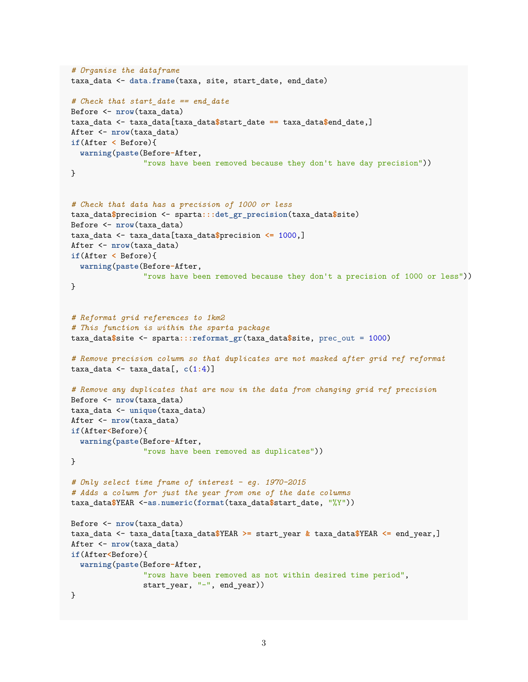```
# Organise the dataframe
taxa_data <- data.frame(taxa, site, start_date, end_date)
# Check that start_date == end_date
Before <- nrow(taxa_data)
taxa_data <- taxa_data[taxa_data$start_date == taxa_data$end_date,]
After <- nrow(taxa_data)
if(After < Before){
  warning(paste(Before-After,
                "rows have been removed because they don't have day precision"))
}
# Check that data has a precision of 1000 or less
taxa_data$precision <- sparta:::det_gr_precision(taxa_data$site)
Before <- nrow(taxa_data)
taxa_data <- taxa_data[taxa_data$precision <= 1000,]
After <- nrow(taxa_data)
if(After < Before){
 warning(paste(Before-After,
                "rows have been removed because they don't a precision of 1000 or less"))
}
# Reformat grid references to 1km2
# This function is within the sparta package
taxa_data$site <- sparta:::reformat_gr(taxa_data$site, prec_out = 1000)
# Remove precision column so that duplicates are not masked after grid ref reformat
taxa_data <- taxa_data[, c(1:4)]
# Remove any duplicates that are now in the data from changing grid ref precision
Before <- nrow(taxa_data)
taxa_data <- unique(taxa_data)
After <- nrow(taxa_data)
if(After<Before){
  warning(paste(Before-After,
                "rows have been removed as duplicates"))
}
# Only select time frame of interest - eg. 1970-2015
# Adds a column for just the year from one of the date columns
taxa_data$YEAR <-as.numeric(format(taxa_data$start_date, "%Y"))
Before <- nrow(taxa_data)
taxa_data <- taxa_data[taxa_data$YEAR >= start_year & taxa_data$YEAR <= end_year,]
After <- nrow(taxa_data)
if(After<Before){
  warning(paste(Before-After,
                "rows have been removed as not within desired time period",
                start_year, "-", end_year))
}
```

```
3
```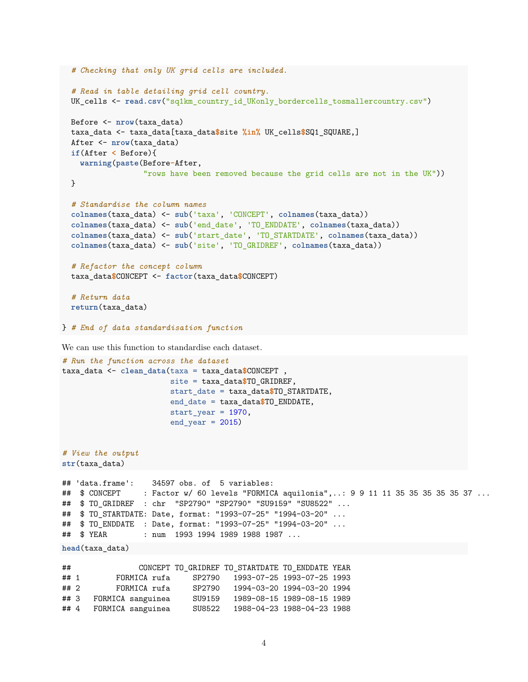```
# Checking that only UK grid cells are included.
  # Read in table detailing grid cell country.
 UK_cells <- read.csv("sq1km_country_id_UKonly_bordercells_tosmallercountry.csv")
  Before <- nrow(taxa_data)
  taxa_data <- taxa_data[taxa_data$site %in% UK_cells$SQ1_SQUARE,]
  After <- nrow(taxa_data)
  if(After < Before){
   warning(paste(Before-After,
                  "rows have been removed because the grid cells are not in the UK"))
 }
  # Standardise the column names
  colnames(taxa_data) <- sub('taxa', 'CONCEPT', colnames(taxa_data))
  colnames(taxa_data) <- sub('end_date', 'TO_ENDDATE', colnames(taxa_data))
  colnames(taxa_data) <- sub('start_date', 'TO_STARTDATE', colnames(taxa_data))
  colnames(taxa_data) <- sub('site', 'TO_GRIDREF', colnames(taxa_data))
  # Refactor the concept column
 taxa_data$CONCEPT <- factor(taxa_data$CONCEPT)
  # Return data
 return(taxa_data)
} # End of data standardisation function
We can use this function to standardise each dataset.
# Run the function across the dataset
taxa_data <- clean_data(taxa = taxa_data$CONCEPT ,
                        site = taxa_data$TO_GRIDREF,
                        start_date = taxa_data$TO_STARTDATE,
                        end_date = taxa_data$TO_ENDDATE,
                        start_year = 1970,
                        end\_year = 2015)
```

```
# View the output
str(taxa_data)
```

```
## 'data.frame': 34597 obs. of 5 variables:
## $ CONCEPT : Factor w/ 60 levels "FORMICA aquilonia",..: 9 9 11 11 35 35 35 35 35 37 ...
## $ TO_GRIDREF : chr "SP2790" "SP2790" "SU9159" "SU8522" ...
## $ TO_STARTDATE: Date, format: "1993-07-25" "1994-03-20" ...
## $ TO_ENDDATE : Date, format: "1993-07-25" "1994-03-20" ...
## $ YEAR : num 1993 1994 1989 1988 1987 ...
```

```
head(taxa_data)
```

| ##     |                   |        | CONCEPT TO GRIDREF TO STARTDATE TO ENDDATE YEAR |                            |  |
|--------|-------------------|--------|-------------------------------------------------|----------------------------|--|
| ## 1   | FORMICA rufa      | SP2790 |                                                 | 1993-07-25 1993-07-25 1993 |  |
| $##$ 2 | FORMICA rufa      | SP2790 |                                                 | 1994-03-20 1994-03-20 1994 |  |
| ## 3   | FORMICA sanguinea | SU9159 |                                                 | 1989-08-15 1989-08-15 1989 |  |
| ##4    | FORMICA sanguinea | SU8522 |                                                 | 1988-04-23 1988-04-23 1988 |  |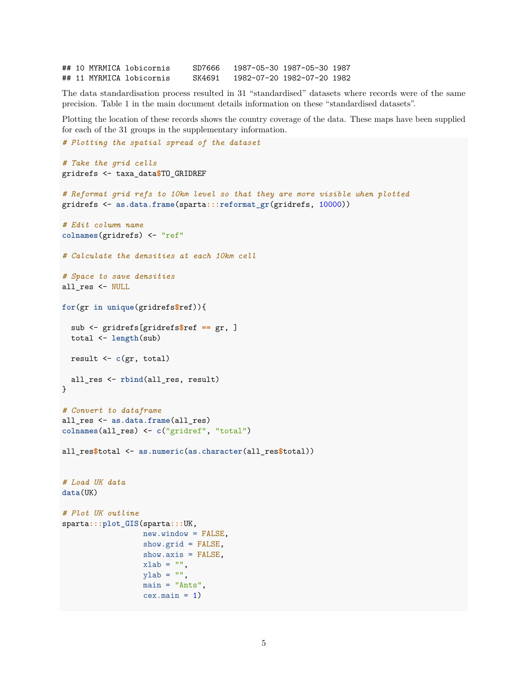## 10 MYRMICA lobicornis SD7666 1987-05-30 1987-05-30 1987 ## 11 MYRMICA lobicornis SK4691 1982-07-20 1982-07-20 1982

The data standardisation process resulted in 31 "standardised" datasets where records were of the same precision. Table 1 in the main document details information on these "standardised datasets".

Plotting the location of these records shows the country coverage of the data. These maps have been supplied for each of the 31 groups in the supplementary information.

```
# Plotting the spatial spread of the dataset
# Take the grid cells
gridrefs <- taxa_data$TO_GRIDREF
# Reformat grid refs to 10km level so that they are more visible when plotted
gridrefs <- as.data.frame(sparta:::reformat_gr(gridrefs, 10000))
# Edit column name
colnames(gridrefs) <- "ref"
# Calculate the densities at each 10km cell
# Space to save densities
all_res <- NULL
for(gr in unique(gridrefs$ref)){
  sub <- gridrefs[gridrefs$ref == gr, ]
  total <- length(sub)
  result <- c(gr, total)
  all_res <- rbind(all_res, result)
}
# Convert to dataframe
all_res <- as.data.frame(all_res)
colnames(all_res) <- c("gridref", "total")
all_res$total <- as.numeric(as.character(all_res$total))
# Load UK data
data(UK)
# Plot UK outline
sparta:::plot_GIS(sparta:::UK,
                  new.window = FALSE,
                  show.grid = FALSE,
                  show.axis = FALSE,
                  xlab = "",
                  vlab = "main = "Ants",
                  cex.mainloop = 1)
```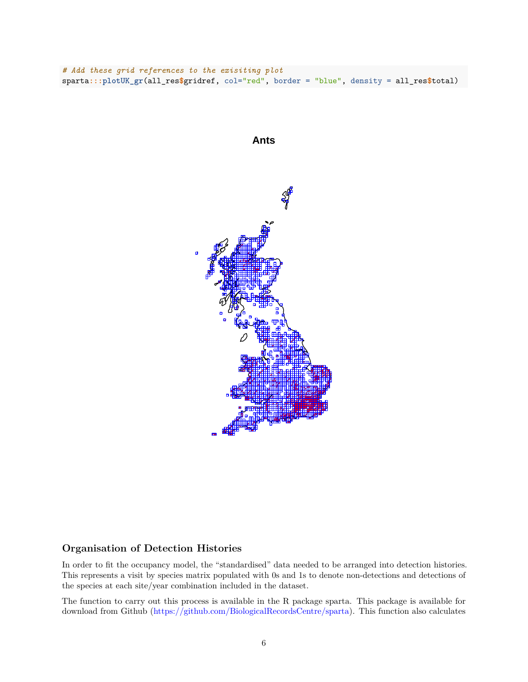*# Add these grid references to the exisiting plot* sparta**:::plotUK\_gr**(all\_res**\$**gridref, col="red", border = "blue", density = all\_res**\$**total)



#### <span id="page-5-0"></span>**Organisation of Detection Histories**

In order to fit the occupancy model, the "standardised" data needed to be arranged into detection histories. This represents a visit by species matrix populated with 0s and 1s to denote non-detections and detections of the species at each site/year combination included in the dataset.

The function to carry out this process is available in the R package sparta. This package is available for download from Github [\(https://github.com/BiologicalRecordsCentre/sparta\)](https://github.com/BiologicalRecordsCentre/sparta). This function also calculates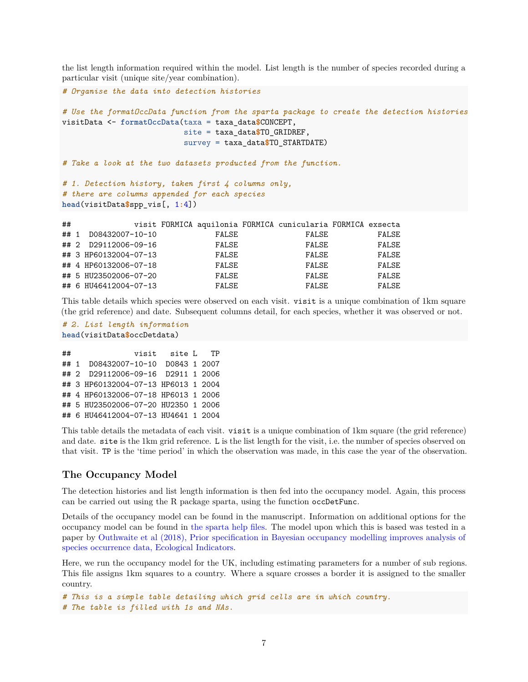the list length information required within the model. List length is the number of species recorded during a particular visit (unique site/year combination).

```
# Organise the data into detection histories
# Use the formatOccData function from the sparta package to create the detection histories
visitData <- formatOccData(taxa = taxa_data$CONCEPT,
                      site = taxa_data$TO_GRIDREF,
                      survey = taxa_data$TO_STARTDATE)
# Take a look at the two datasets producted from the function.
# 1. Detection history, taken first 4 columns only,
# there are columns appended for each species
head(visitData$spp_vis[, 1:4])
## visit FORMICA aquilonia FORMICA cunicularia FORMICA exsecta
## 1 D08432007-10-10 FALSE FALSE FALSE
## 2 D29112006-09-16 FALSE FALSE FALSE
## 3 HP60132004-07-13 FALSE FALSE FALSE
## 4 HP60132006-07-18 FALSE FALSE FALSE
```
This table details which species were observed on each visit. visit is a unique combination of 1km square (the grid reference) and date. Subsequent columns detail, for each species, whether it was observed or not.

## 5 HU23502006-07-20 FALSE FALSE FALSE ## 6 HU46412004-07-13 FALSE FALSE FALSE

```
# 2. List length information
head(visitData$occDetdata)
```

```
## visit site L TP
## 1 D08432007-10-10 D0843 1 2007
## 2 D29112006-09-16 D2911 1 2006
## 3 HP60132004-07-13 HP6013 1 2004
## 4 HP60132006-07-18 HP6013 1 2006
## 5 HU23502006-07-20 HU2350 1 2006
## 6 HU46412004-07-13 HU4641 1 2004
```
This table details the metadata of each visit. visit is a unique combination of 1km square (the grid reference) and date. site is the 1km grid reference. L is the list length for the visit, i.e. the number of species observed on that visit. TP is the 'time period' in which the observation was made, in this case the year of the observation.

#### <span id="page-6-0"></span>**The Occupancy Model**

The detection histories and list length information is then fed into the occupancy model. Again, this process can be carried out using the R package sparta, using the function occDetFunc.

Details of the occupancy model can be found in the manuscript. Information on additional options for the occupancy model can be found in [the sparta help files.](http://biologicalrecordscentre.github.io/sparta/reference/occDetFunc.html) The model upon which this is based was tested in a paper by [Outhwaite et al \(2018\), Prior specification in Bayesian occupancy modelling improves analysis of](https://www.sciencedirect.com/science/article/pii/S1470160X18303443) [species occurrence data, Ecological Indicators.](https://www.sciencedirect.com/science/article/pii/S1470160X18303443)

Here, we run the occupancy model for the UK, including estimating parameters for a number of sub regions. This file assigns 1km squares to a country. Where a square crosses a border it is assigned to the smaller country.

```
# This is a simple table detailing which grid cells are in which country.
# The table is filled with 1s and NAs.
```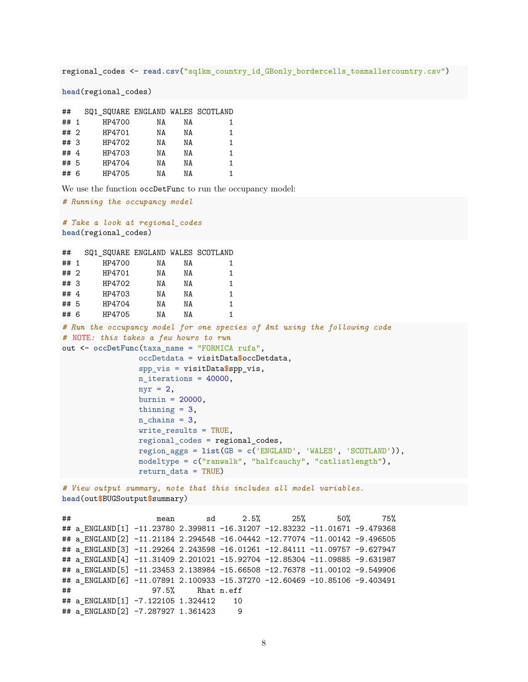regional\_codes <- **read.csv**("sq1km\_country\_id\_GBonly\_bordercells\_tosmallercountry.csv")

**head**(regional\_codes)

| ##     | SQ1_SQUARE ENGLAND WALES SCOTLAND |    |    |    |
|--------|-----------------------------------|----|----|----|
| ## 1   | HP4700                            | ΝA | ΝA |    |
| ##2    | HP4701                            | ΝA | ΝA | 1. |
| ## 3   | HP4702                            | ΝA | ΝA | 1. |
| ## $4$ | HP4703                            | ΝA | NΑ | 1  |
| ## 5   | HP4704                            | ΝA | ΝA |    |
| ## 6   | HP4705                            | ΝA | ΝA |    |

We use the function occDetFunc to run the occupancy model:

```
# Running the occupancy model
# Take a look at regional_codes
head(regional_codes)
## SQ1 SQUARE ENGLAND WALES SCOTLAND
## 1 HP4700 NA NA 1
## 2 HP4701 NA NA 1
## 3 HP4702 NA NA 1
## 4 HP4703 NA NA 1
## 5 HP4704 NA NA 1
## 6 HP4705 NA NA 1
# Run the occupancy model for one species of Ant using the following code
# NOTE: this takes a few hours to run
out <- occDetFunc(taxa_name = "FORMICA rufa",
               occDetdata = visitData$occDetdata,
               spp_vis = visitData$spp_vis,
               n_iterations = 40000,
               nyr = 2,burnin = 20000,
               thinning = 3,
               n_{\text{chains}} = 3,
               write_results = TRUE,
               regional_codes = regional_codes,
               region_aggs = list(GB = c('ENGLAND', 'WALES', 'SCOTLAND')),
               modeltype = c("ranwalk", "halfcauchy", "catlistlength"),
               return_data = TRUE)
# View output summary, note that this includes all model variables.
head(out$BUGSoutput$summary)
## mean sd 2.5% 25% 50% 75%
## a_ENGLAND[1] -11.23780 2.399811 -16.31207 -12.83232 -11.01671 -9.479368
## a_ENGLAND[2] -11.21184 2.294548 -16.04442 -12.77074 -11.00142 -9.496505
## a_ENGLAND[3] -11.29264 2.243598 -16.01261 -12.84111 -11.09757 -9.627947
## a_ENGLAND[4] -11.31409 2.201021 -15.92704 -12.85304 -11.09885 -9.631987
## a_ENGLAND[5] -11.23453 2.138984 -15.66508 -12.76378 -11.00102 -9.549906
```

```
## 97.5% Rhat n.eff
## a_ENGLAND[1] -7.122105 1.324412 10
## a_ENGLAND[2] -7.287927 1.361423 9
```
## a\_ENGLAND[6] -11.07891 2.100933 -15.37270 -12.60469 -10.85106 -9.403491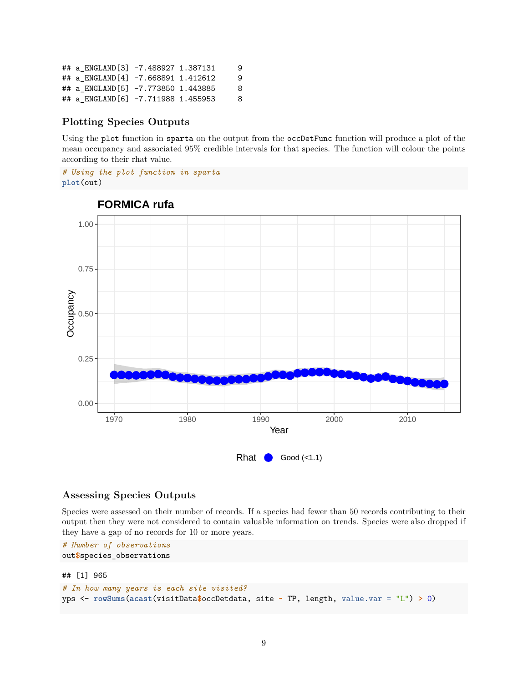| ## a ENGLAND[3] -7.488927 1.387131 |  | 9 |
|------------------------------------|--|---|
| ## a ENGLAND[4] -7.668891 1.412612 |  | 9 |
| ## a ENGLAND[5] -7.773850 1.443885 |  | 8 |
| ## a ENGLAND[6] -7.711988 1.455953 |  | 8 |

#### <span id="page-8-0"></span>**Plotting Species Outputs**

Using the plot function in sparta on the output from the occDetFunc function will produce a plot of the mean occupancy and associated 95% credible intervals for that species. The function will colour the points according to their rhat value.

*# Using the plot function in sparta* **plot**(out)



#### **FORMICA rufa**

#### <span id="page-8-1"></span>**Assessing Species Outputs**

Species were assessed on their number of records. If a species had fewer than 50 records contributing to their output then they were not considered to contain valuable information on trends. Species were also dropped if they have a gap of no records for 10 or more years.

```
# Number of observations
out$species_observations
```
## [1] 965

```
# In how many years is each site visited?
yps <- rowSums(acast(visitData$occDetdata, site ~ TP, length, value.var = "L") > 0)
```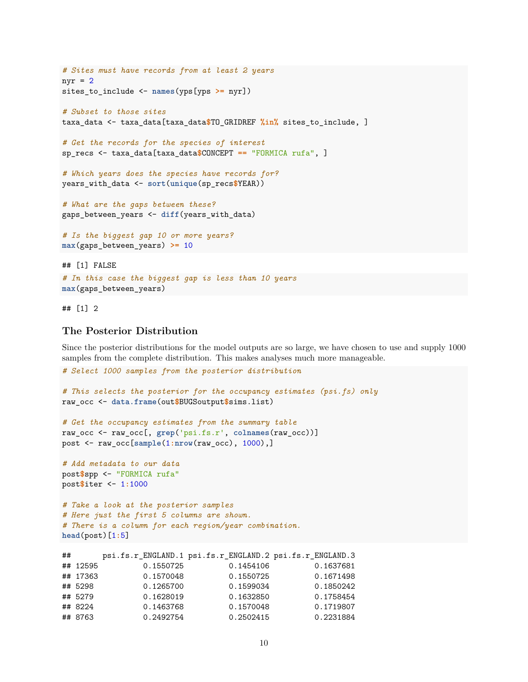```
# Sites must have records from at least 2 years
nyr = 2sites to include <- names(yps[yps >= nyr])
# Subset to those sites
taxa_data <- taxa_data[taxa_data$TO_GRIDREF %in% sites_to_include, ]
# Get the records for the species of interest
sp_recs <- taxa_data[taxa_data$CONCEPT == "FORMICA rufa", ]
# Which years does the species have records for?
years_with_data <- sort(unique(sp_recs$YEAR))
# What are the gaps between these?
gaps_between_years <- diff(years_with_data)
# Is the biggest gap 10 or more years?
max(gaps_between_years) >= 10
## [1] FALSE
# In this case the biggest gap is less than 10 years
```

```
max(gaps_between_years)
```
## [1] 2

#### <span id="page-9-0"></span>**The Posterior Distribution**

*# Select 1000 samples from the posterior distribution*

Since the posterior distributions for the model outputs are so large, we have chosen to use and supply 1000 samples from the complete distribution. This makes analyses much more manageable.

```
# This selects the posterior for the occupancy estimates (psi.fs) only
raw_occ <- data.frame(out$BUGSoutput$sims.list)
# Get the occupancy estimates from the summary table
raw_occ <- raw_occ[, grep('psi.fs.r', colnames(raw_occ))]
post <- raw_occ[sample(1:nrow(raw_occ), 1000),]
# Add metadata to our data
post$spp <- "FORMICA rufa"
post$iter <- 1:1000
# Take a look at the posterior samples
# Here just the first 5 columns are shown.
# There is a column for each region/year combination.
head(post)[1:5]
## psi.fs.r_ENGLAND.1 psi.fs.r_ENGLAND.2 psi.fs.r_ENGLAND.3
## 12595 0.1550725 0.1454106 0.1637681
## 17363 0.1570048 0.1550725 0.1671498
## 5298 0.1265700 0.1599034 0.1850242
## 5279 0.1628019 0.1632850 0.1758454
## 8224 0.1463768 0.1570048 0.1719807
```
## 8763 0.2492754 0.2502415 0.2231884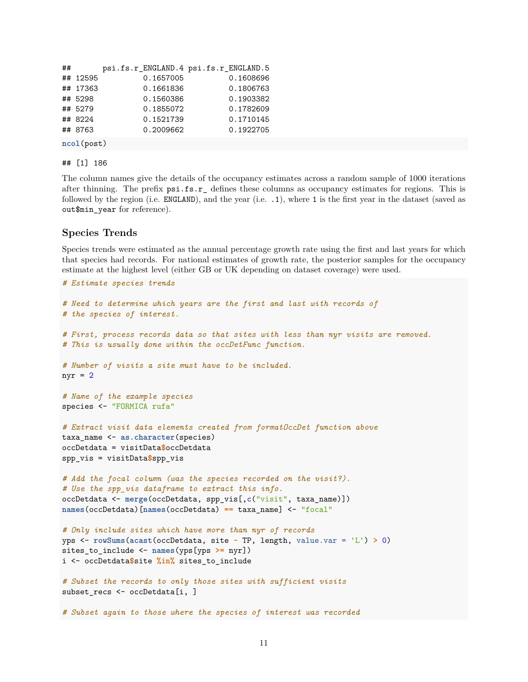```
## psi.fs.r ENGLAND.4 psi.fs.r ENGLAND.5
## 12595 0.1657005 0.1608696
## 17363 0.1661836 0.1806763
## 5298 0.1560386 0.1903382
## 5279 0.1855072 0.1782609
## 8224 0.1521739 0.1710145
## 8763 0.2009662 0.1922705
```
#### ## [1] 186

**ncol**(post)

The column names give the details of the occupancy estimates across a random sample of 1000 iterations after thinning. The prefix psi.fs.r\_ defines these columns as occupancy estimates for regions. This is followed by the region (i.e. ENGLAND), and the year (i.e. .1), where 1 is the first year in the dataset (saved as out\$min\_year for reference).

#### <span id="page-10-0"></span>**Species Trends**

Species trends were estimated as the annual percentage growth rate using the first and last years for which that species had records. For national estimates of growth rate, the posterior samples for the occupancy estimate at the highest level (either GB or UK depending on dataset coverage) were used.

```
# Estimate species trends
# Need to determine which years are the first and last with records of
# the species of interest.
# First, process records data so that sites with less than nyr visits are removed.
# This is usually done within the occDetFunc function.
# Number of visits a site must have to be included.
nyr = 2# Name of the example species
species <- "FORMICA rufa"
# Extract visit data elements created from formatOccDet function above
taxa_name <- as.character(species)
occDetdata = visitData$occDetdata
spp_vis = visitData$spp_vis
# Add the focal column (was the species recorded on the visit?).
# Use the spp_vis dataframe to extract this info.
occDetdata <- merge(occDetdata, spp_vis[,c("visit", taxa_name)])
names(occDetdata)[names(occDetdata) == taxa_name] <- "focal"
# Only include sites which have more than nyr of records
yps <- rowSums(acast(occDetdata, site ~ TP, length, value.var = 'L') > 0)
sites_to_include <- names(yps[yps >= nyr])
i <- occDetdata$site %in% sites_to_include
# Subset the records to only those sites with sufficient visits
subset_recs <- occDetdata[i, ]
# Subset again to those where the species of interest was recorded
```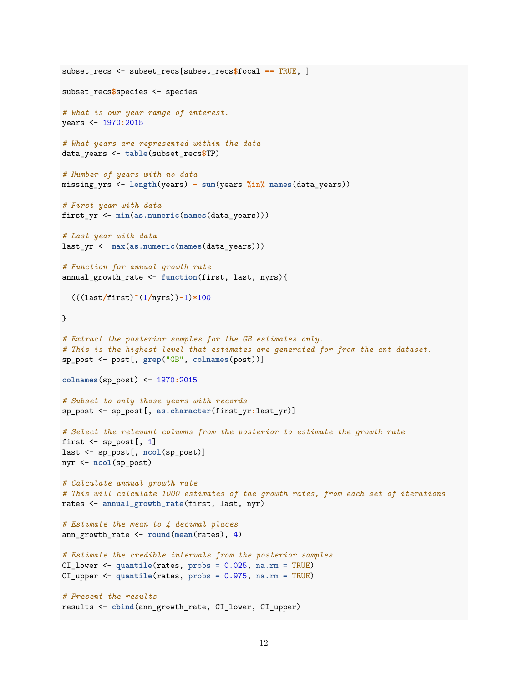```
subset_recs <- subset_recs[subset_recs$focal == TRUE, ]
subset_recs$species <- species
# What is our year range of interest.
years <- 1970:2015
# What years are represented within the data
data_years <- table(subset_recs$TP)
# Number of years with no data
missing_yrs <- length(years) - sum(years %in% names(data_years))
# First year with data
first_yr <- min(as.numeric(names(data_years)))
# Last year with data
last_yr <- max(as.numeric(names(data_years)))
# Function for annual growth rate
annual_growth_rate <- function(first, last, nyrs){
  (((last/first)^(1/nyrs))-1)*100
}
# Extract the posterior samples for the GB estimates only.
# This is the highest level that estimates are generated for from the ant dataset.
sp_post <- post[, grep("GB", colnames(post))]
colnames(sp_post) <- 1970:2015
# Subset to only those years with records
sp_post <- sp_post[, as.character(first_yr:last_yr)]
# Select the relevant columns from the posterior to estimate the growth rate
first \leq sp_post[, 1]
last <- sp_post[, ncol(sp_post)]
nyr <- ncol(sp_post)
# Calculate annual growth rate
# This will calculate 1000 estimates of the growth rates, from each set of iterations
rates <- annual_growth_rate(first, last, nyr)
# Estimate the mean to 4 decimal places
ann_growth_rate <- round(mean(rates), 4)
# Estimate the credible intervals from the posterior samples
CI_lower <- quantile(rates, probs = 0.025, na.rm = TRUE)
CI_upper <- quantile(rates, probs = 0.975, na.rm = TRUE)
# Present the results
results <- cbind(ann_growth_rate, CI_lower, CI_upper)
```